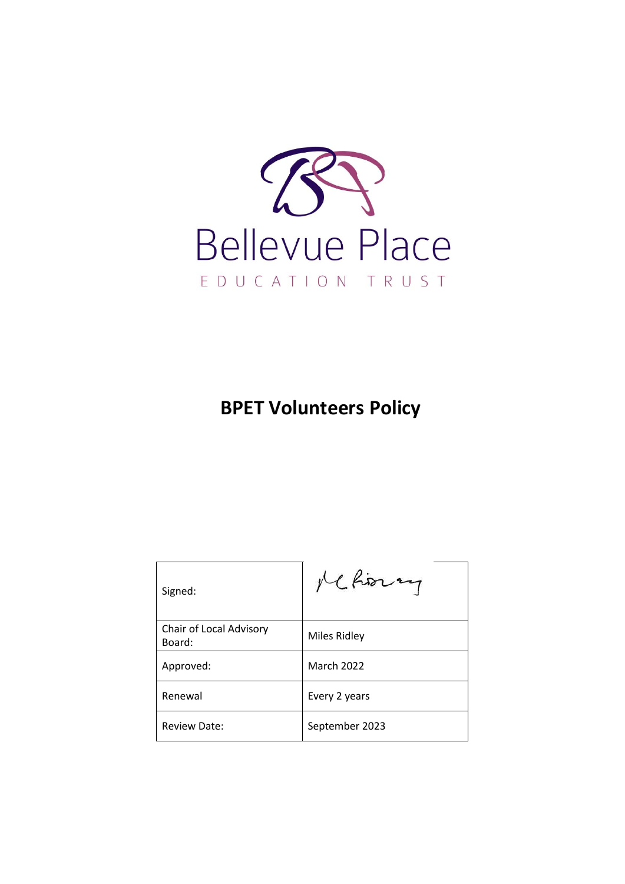

# **BPET Volunteers Policy**

| Signed:                           | Me horay          |
|-----------------------------------|-------------------|
| Chair of Local Advisory<br>Board: | Miles Ridley      |
| Approved:                         | <b>March 2022</b> |
| Renewal                           | Every 2 years     |
| <b>Review Date:</b>               | September 2023    |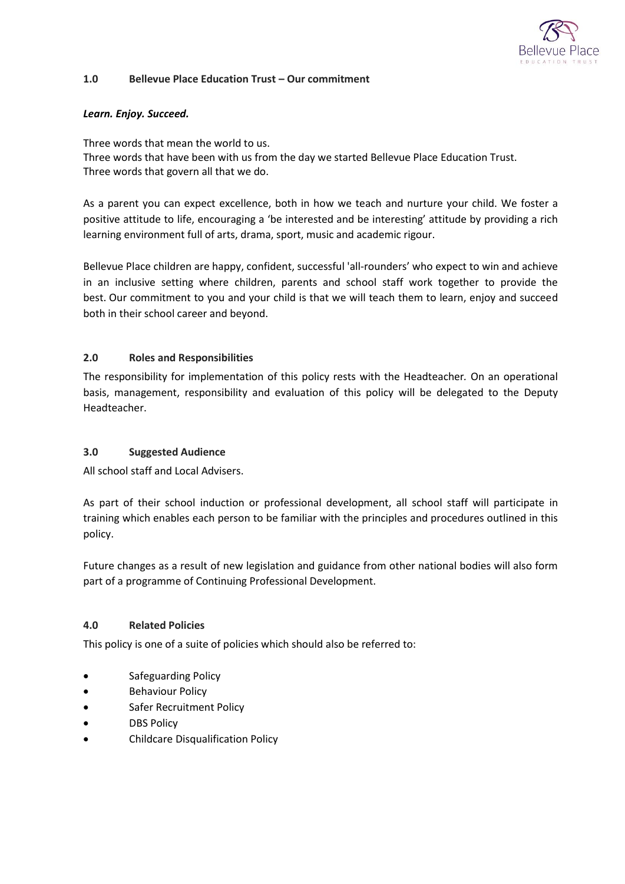

#### **1.0 Bellevue Place Education Trust – Our commitment**

### *Learn. Enjoy. Succeed.*

Three words that mean the world to us. Three words that have been with us from the day we started Bellevue Place Education Trust. Three words that govern all that we do.

As a parent you can expect excellence, both in how we teach and nurture your child. We foster a positive attitude to life, encouraging a 'be interested and be interesting' attitude by providing a rich learning environment full of arts, drama, sport, music and academic rigour.

Bellevue Place children are happy, confident, successful 'all-rounders' who expect to win and achieve in an inclusive setting where children, parents and school staff work together to provide the best. Our commitment to you and your child is that we will teach them to learn, enjoy and succeed both in their school career and beyond.

# **2.0 Roles and Responsibilities**

The responsibility for implementation of this policy rests with the Headteacher*.* On an operational basis, management, responsibility and evaluation of this policy will be delegated to the Deputy Headteacher.

### **3.0 Suggested Audience**

All school staff and Local Advisers.

As part of their school induction or professional development, all school staff will participate in training which enables each person to be familiar with the principles and procedures outlined in this policy.

Future changes as a result of new legislation and guidance from other national bodies will also form part of a programme of Continuing Professional Development.

## **4.0 Related Policies**

This policy is one of a suite of policies which should also be referred to:

- Safeguarding Policy
- **•** Behaviour Policy
- Safer Recruitment Policy
- DBS Policy
- Childcare Disqualification Policy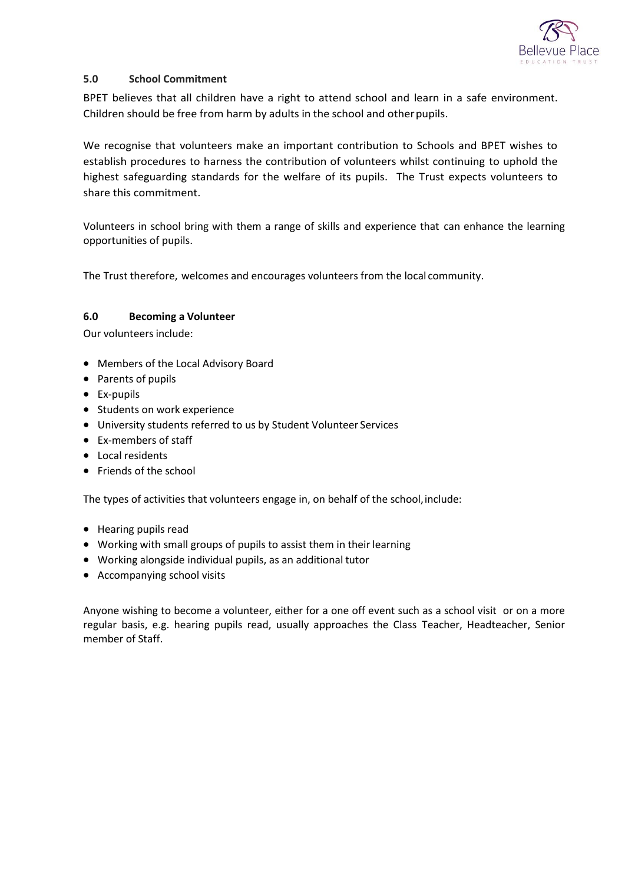

# **5.0 School Commitment**

BPET believes that all children have a right to attend school and learn in a safe environment. Children should be free from harm by adults in the school and otherpupils.

We recognise that volunteers make an important contribution to Schools and BPET wishes to establish procedures to harness the contribution of volunteers whilst continuing to uphold the highest safeguarding standards for the welfare of its pupils. The Trust expects volunteers to share this commitment.

Volunteers in school bring with them a range of skills and experience that can enhance the learning opportunities of pupils.

The Trust therefore, welcomes and encourages volunteers from the local community.

### **6.0 Becoming a Volunteer**

Our volunteers include:

- Members of the Local Advisory Board
- Parents of pupils
- Ex-pupils
- **•** Students on work experience
- University students referred to us by Student Volunteer Services
- Ex-members of staff
- Local residents
- Friends of the school

The types of activities that volunteers engage in, on behalf of the school, include:

- Hearing pupils read
- Working with small groups of pupils to assist them in their learning
- Working alongside individual pupils, as an additional tutor
- Accompanying school visits

Anyone wishing to become a volunteer, either for a one off event such as a school visit or on a more regular basis, e.g. hearing pupils read, usually approaches the Class Teacher, Headteacher, Senior member of Staff.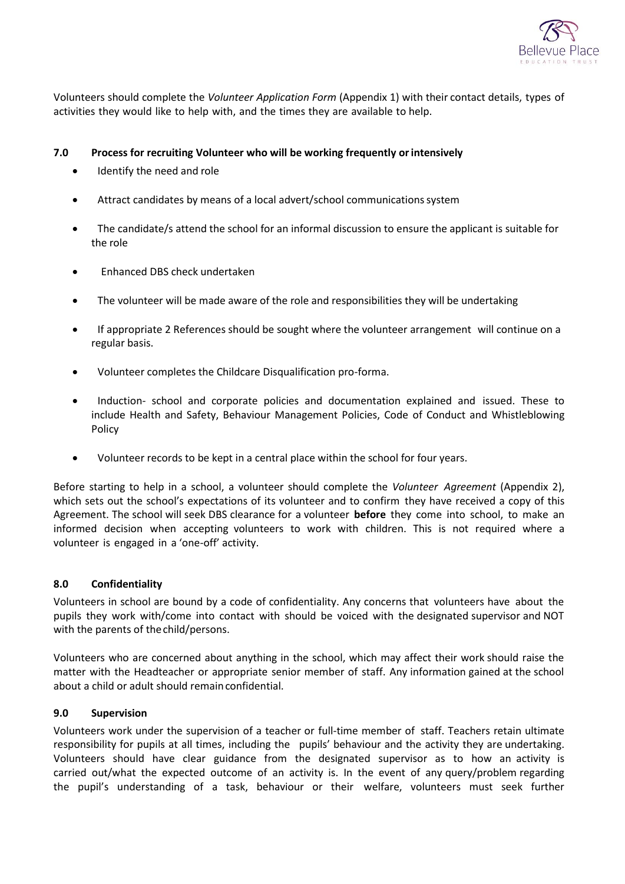

Volunteers should complete the *Volunteer Application Form* (Appendix 1) with their contact details, types of activities they would like to help with, and the times they are available to help.

## **7.0 Process for recruiting Volunteer who will be working frequently orintensively**

- Identify the need and role
- Attract candidates by means of a local advert/school communicationssystem
- The candidate/s attend the school for an informal discussion to ensure the applicant is suitable for the role
- Enhanced DBS check undertaken
- The volunteer will be made aware of the role and responsibilities they will be undertaking
- If appropriate 2 References should be sought where the volunteer arrangement will continue on a regular basis.
- Volunteer completes the Childcare Disqualification pro-forma.
- Induction- school and corporate policies and documentation explained and issued. These to include Health and Safety, Behaviour Management Policies, Code of Conduct and Whistleblowing Policy
- Volunteer records to be kept in a central place within the school for four years.

Before starting to help in a school, a volunteer should complete the *Volunteer Agreement* (Appendix 2), which sets out the school's expectations of its volunteer and to confirm they have received a copy of this Agreement. The school will seek DBS clearance for a volunteer **before** they come into school, to make an informed decision when accepting volunteers to work with children. This is not required where a volunteer is engaged in a 'one-off' activity.

### **8.0 Confidentiality**

Volunteers in school are bound by a code of confidentiality. Any concerns that volunteers have about the pupils they work with/come into contact with should be voiced with the designated supervisor and NOT with the parents of the child/persons.

Volunteers who are concerned about anything in the school, which may affect their work should raise the matter with the Headteacher or appropriate senior member of staff. Any information gained at the school about a child or adult should remainconfidential.

### **9.0 Supervision**

Volunteers work under the supervision of a teacher or full-time member of staff. Teachers retain ultimate responsibility for pupils at all times, including the pupils' behaviour and the activity they are undertaking. Volunteers should have clear guidance from the designated supervisor as to how an activity is carried out/what the expected outcome of an activity is. In the event of any query/problem regarding the pupil's understanding of a task, behaviour or their welfare, volunteers must seek further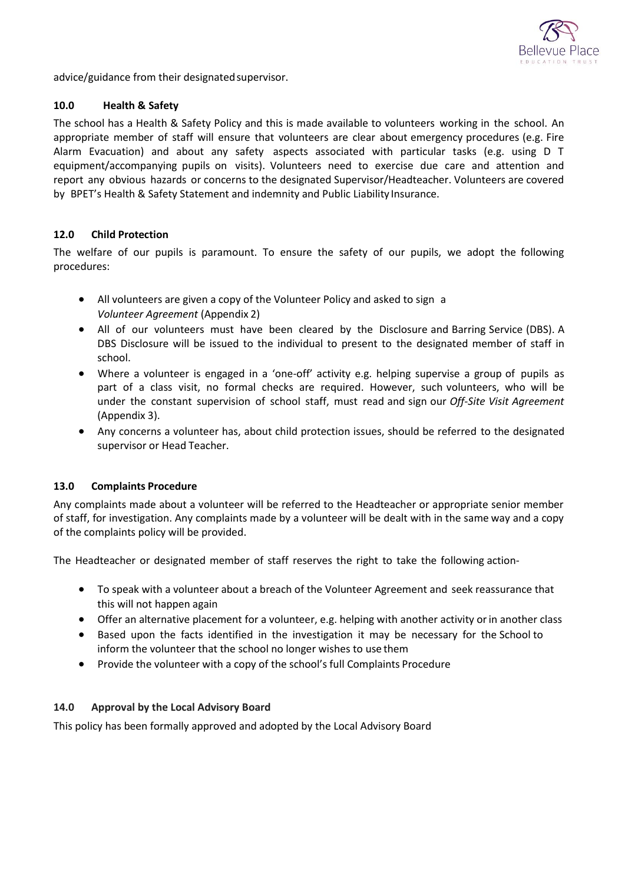

advice/guidance from their designated supervisor.

#### **10.0 Health & Safety**

The school has a Health & Safety Policy and this is made available to volunteers working in the school. An appropriate member of staff will ensure that volunteers are clear about emergency procedures (e.g. Fire Alarm Evacuation) and about any safety aspects associated with particular tasks (e.g. using D T equipment/accompanying pupils on visits). Volunteers need to exercise due care and attention and report any obvious hazards or concerns to the designated Supervisor/Headteacher. Volunteers are covered by BPET's Health & Safety Statement and indemnity and Public Liability Insurance.

### **12.0 Child Protection**

The welfare of our pupils is paramount. To ensure the safety of our pupils, we adopt the following procedures:

- All volunteers are given a copy of the Volunteer Policy and asked to sign a *Volunteer Agreement* (Appendix 2)
- All of our volunteers must have been cleared by the Disclosure and Barring Service (DBS). A DBS Disclosure will be issued to the individual to present to the designated member of staff in school.
- Where a volunteer is engaged in a 'one-off' activity e.g. helping supervise a group of pupils as part of a class visit, no formal checks are required. However, such volunteers, who will be under the constant supervision of school staff, must read and sign our *Off-Site Visit Agreement*  (Appendix 3).
- Any concerns a volunteer has, about child protection issues, should be referred to the designated supervisor or Head Teacher.

### **13.0 Complaints Procedure**

Any complaints made about a volunteer will be referred to the Headteacher or appropriate senior member of staff, for investigation. Any complaints made by a volunteer will be dealt with in the same way and a copy of the complaints policy will be provided.

The Headteacher or designated member of staff reserves the right to take the following action-

- To speak with a volunteer about a breach of the Volunteer Agreement and seek reassurance that this will not happen again
- Offer an alternative placement for a volunteer, e.g. helping with another activity orin another class
- Based upon the facts identified in the investigation it may be necessary for the School to inform the volunteer that the school no longer wishes to use them
- Provide the volunteer with a copy of the school's full Complaints Procedure

### **14.0 Approval by the Local Advisory Board**

This policy has been formally approved and adopted by the Local Advisory Board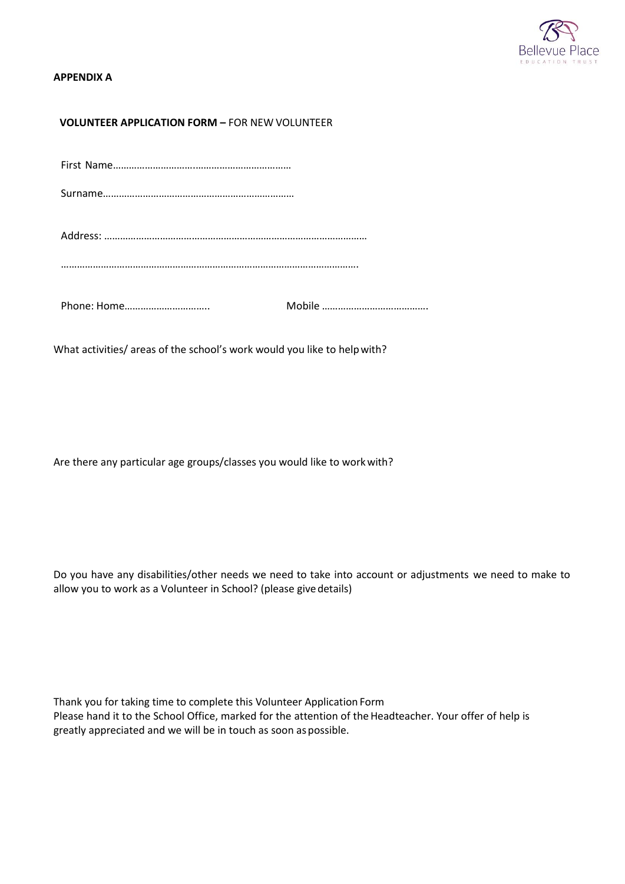

### **APPENDIX A**

## **VOLUNTEER APPLICATION FORM –** FOR NEW VOLUNTEER

What activities/ areas of the school's work would you like to helpwith?

Are there any particular age groups/classes you would like to workwith?

Do you have any disabilities/other needs we need to take into account or adjustments we need to make to allow you to work as a Volunteer in School? (please givedetails)

Thank you for taking time to complete this Volunteer Application Form Please hand it to the School Office, marked for the attention of the Headteacher. Your offer of help is greatly appreciated and we will be in touch as soon aspossible.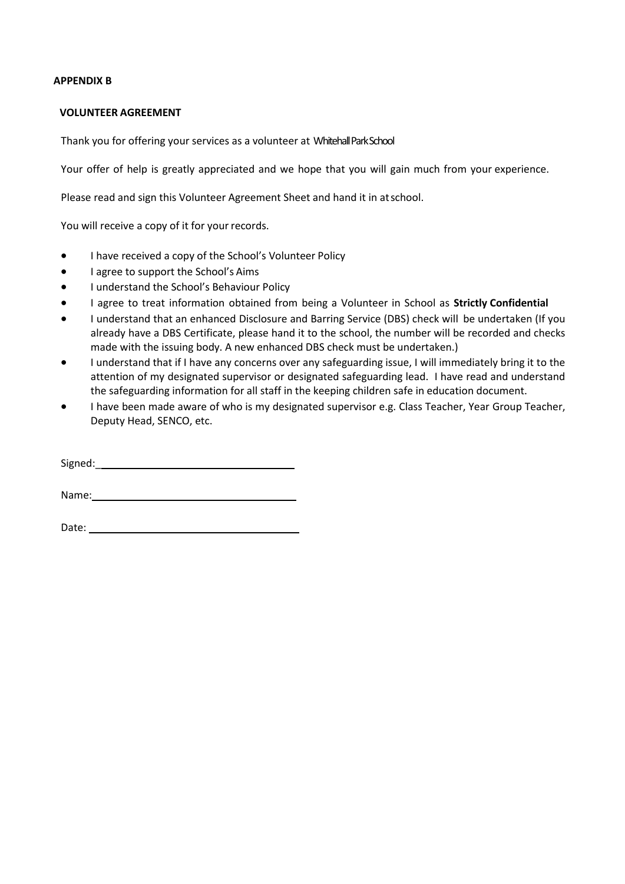#### **APPENDIX B**

#### **VOLUNTEER AGREEMENT**

Thank you for offering your services as a volunteer at Whitehall ParkSchool

Your offer of help is greatly appreciated and we hope that you will gain much from your experience.

Please read and sign this Volunteer Agreement Sheet and hand it in atschool.

You will receive a copy of it for your records.

- I have received a copy of the School's Volunteer Policy
- I agree to support the School's Aims
- **•** I understand the School's Behaviour Policy
- I agree to treat information obtained from being a Volunteer in School as **Strictly Confidential**
- I understand that an enhanced Disclosure and Barring Service (DBS) check will be undertaken (If you already have a DBS Certificate, please hand it to the school, the number will be recorded and checks made with the issuing body. A new enhanced DBS check must be undertaken.)
- I understand that if I have any concerns over any safeguarding issue, I will immediately bring it to the attention of my designated supervisor or designated safeguarding lead. I have read and understand the safeguarding information for all staff in the keeping children safe in education document.
- I have been made aware of who is my designated supervisor e.g. Class Teacher, Year Group Teacher, Deputy Head, SENCO, etc.

Signed:\_

Name: Name and Allen and Allen and Allen and Allen and Allen and Allen and Allen and Allen and Allen and Allen

Date: <u>www.communications.communications.com</u>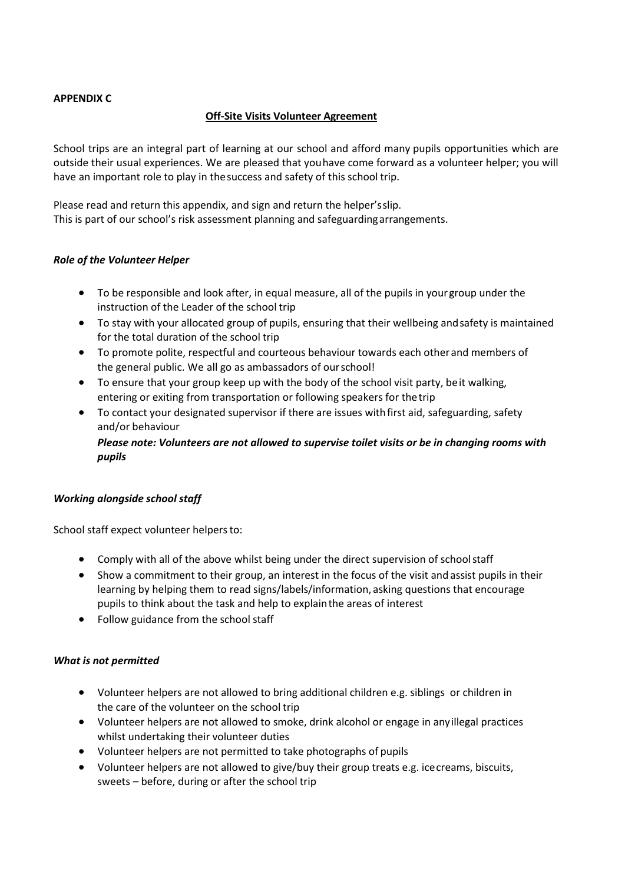# **APPENDIX C**

# **Off-Site Visits Volunteer Agreement**

School trips are an integral part of learning at our school and afford many pupils opportunities which are outside their usual experiences. We are pleased that youhave come forward as a volunteer helper; you will have an important role to play in thesuccess and safety of this school trip.

Please read and return this appendix, and sign and return the helper'sslip. This is part of our school's risk assessment planning and safeguardingarrangements.

# *Role of the Volunteer Helper*

- To be responsible and look after, in equal measure, all of the pupils in yourgroup under the instruction of the Leader of the school trip
- To stay with your allocated group of pupils, ensuring that their wellbeing andsafety is maintained for the total duration of the school trip
- To promote polite, respectful and courteous behaviour towards each otherand members of the general public. We all go as ambassadors of ourschool!
- To ensure that your group keep up with the body of the school visit party, beit walking, entering or exiting from transportation or following speakers for thetrip
- To contact your designated supervisor if there are issues withfirst aid, safeguarding, safety and/or behaviour

*Please note: Volunteers are not allowed to supervise toilet visits or be in changing rooms with pupils*

### *Working alongside school staff*

School staff expect volunteer helpers to:

- Comply with all of the above whilst being under the direct supervision of schoolstaff
- Show a commitment to their group, an interest in the focus of the visit and assist pupils in their learning by helping them to read signs/labels/information, asking questions that encourage pupils to think about the task and help to explainthe areas of interest
- Follow guidance from the school staff

### *What is not permitted*

- Volunteer helpers are not allowed to bring additional children e.g. siblings or children in the care of the volunteer on the school trip
- Volunteer helpers are not allowed to smoke, drink alcohol or engage in anyillegal practices whilst undertaking their volunteer duties
- Volunteer helpers are not permitted to take photographs of pupils
- Volunteer helpers are not allowed to give/buy their group treats e.g. icecreams, biscuits, sweets – before, during or after the school trip